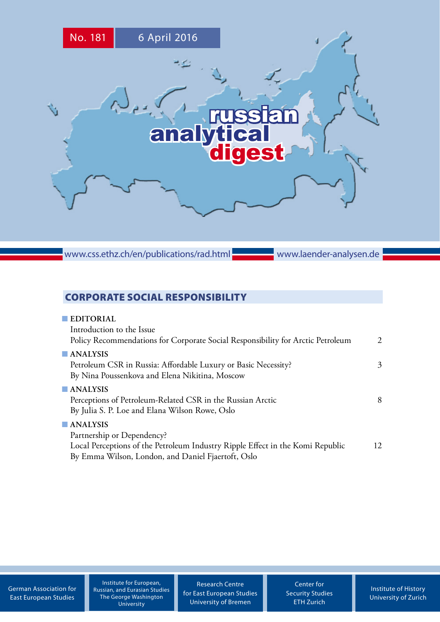

www.css.ethz.ch/en/publications/rad.html

www.laender-analysen.de

## CORPORATE SOCIAL RESPONSIBILITY

| <b>EDITORIAL</b><br>Introduction to the Issue<br>Policy Recommendations for Corporate Social Responsibility for Arctic Petroleum                                                              | $\mathcal{L}$ |
|-----------------------------------------------------------------------------------------------------------------------------------------------------------------------------------------------|---------------|
| $\blacksquare$ ANALYSIS<br>Petroleum CSR in Russia: Affordable Luxury or Basic Necessity?<br>By Nina Poussenkova and Elena Nikitina, Moscow                                                   | 3             |
| $\blacksquare$ ANALYSIS<br>Perceptions of Petroleum-Related CSR in the Russian Arctic<br>By Julia S. P. Loe and Elana Wilson Rowe, Oslo                                                       | 8             |
| $\blacksquare$ ANALYSIS<br>Partnership or Dependency?<br>Local Perceptions of the Petroleum Industry Ripple Effect in the Komi Republic<br>By Emma Wilson, London, and Daniel Fjaertoft, Oslo | 12            |

[German Association for](http://www.dgo-online.org/) [East European Studies](http://www.dgo-online.org/)

Institute for European, Russian, and Eurasian Studies The George Washington University

[Research Centre](http://www.forschungsstelle.uni-bremen.de/) [for East European Studies](http://www.forschungsstelle.uni-bremen.de/) [University of Bremen](http://www.forschungsstelle.uni-bremen.de/)

[Center for](http://www.css.ethz.ch/) [Security Studies](http://www.css.ethz.ch/) [ETH Zurich](http://www.css.ethz.ch/)

[Institute of History](http://www.hist.uzh.ch/) [University of](http://www.hist.uzh.ch/) Zurich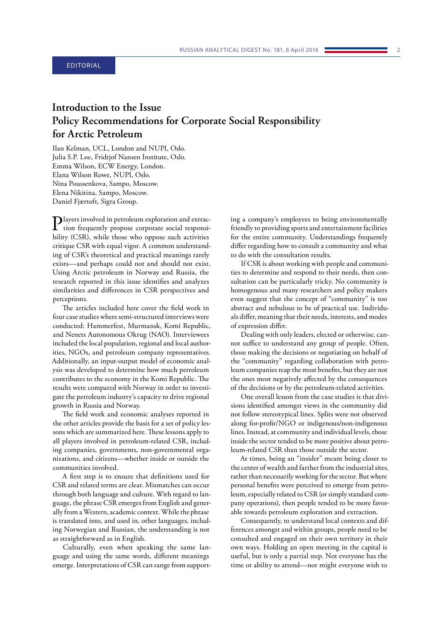# <span id="page-1-0"></span>**Introduction to the Issue Policy Recommendations for Corporate Social Responsibility for Arctic Petroleum**

Ilan Kelman, UCL, London and NUPI, Oslo. Julia S.P. Loe, Fridtjof Nansen Institute, Oslo. Emma Wilson, ECW Energy, London. Elana Wilson Rowe, NUPI, Oslo. Nina Poussenkova, Sampo, Moscow. Elena Nikitina, Sampo, Moscow. Daniel Fjærtoft, Sigra Group.

 $\sum$  layers involved in petroleum exploration and extrac-<br>tion frequently propose corporate social responsi-<br> $\frac{1 \cdot 1}{2 \cdot 2 \cdot 2 \cdot 1}$ bility (CSR), while those who oppose such activities critique CSR with equal vigor. A common understanding of CSR's theoretical and practical meanings rarely exists—and perhaps could not and should not exist. Using Arctic petroleum in Norway and Russia, the research reported in this issue identifies and analyzes similarities and differences in CSR perspectives and perceptions.

The articles included here cover the field work in four case studies where semi-structured interviews were conducted: Hammerfest, Murmansk, Komi Republic, and Nenets Autonomous Okrug (NAO). Interviewees included the local population, regional and local authorities, NGOs, and petroleum company representatives. Additionally, an input-output model of economic analysis was developed to determine how much petroleum contributes to the economy in the Komi Republic. The results were compared with Norway in order to investigate the petroleum industry's capacity to drive regional growth in Russia and Norway.

The field work and economic analyses reported in the other articles provide the basis for a set of policy lessons which are summarized here. These lessons apply to all players involved in petroleum-related CSR, including companies, governments, non-governmental organizations, and citizens—whether inside or outside the communities involved.

A first step is to ensure that definitions used for CSR and related terms are clear. Mismatches can occur through both language and culture. With regard to language, the phrase CSR emerges from English and generally from a Western, academic context. While the phrase is translated into, and used in, other languages, including Norwegian and Russian, the understanding is not as straightforward as in English.

Culturally, even when speaking the same language and using the same words, different meanings emerge. Interpretations of CSR can range from supporting a company's employees to being environmentally friendly to providing sports and entertainment facilities for the entire community. Understandings frequently differ regarding how to consult a community and what to do with the consultation results.

If CSR is about working with people and communities to determine and respond to their needs, then consultation can be particularly tricky. No community is homogenous and many researchers and policy makers even suggest that the concept of "community" is too abstract and nebulous to be of practical use. Individuals differ, meaning that their needs, interests, and modes of expression differ.

Dealing with only leaders, elected or otherwise, cannot suffice to understand any group of people. Often, those making the decisions or negotiating on behalf of the "community" regarding collaboration with petroleum companies reap the most benefits, but they are not the ones most negatively affected by the consequences of the decisions or by the petroleum-related activities.

One overall lesson from the case studies is that divisions identified amongst views in the community did not follow stereotypical lines. Splits were not observed along for-profit/NGO or indigenous/non-indigenous lines. Instead, at community and individual levels, those inside the sector tended to be more positive about petroleum-related CSR than those outside the sector.

At times, being an "insider" meant being closer to the center of wealth and farther from the industrial sites, rather than necessarily working for the sector. But where personal benefits were perceived to emerge from petroleum, especially related to CSR (or simply standard company operations), then people tended to be more favorable towards petroleum exploration and extraction.

Consequently, to understand local contexts and differences amongst and within groups, people need to be consulted and engaged on their own territory in their own ways. Holding an open meeting in the capital is useful, but is only a partial step. Not everyone has the time or ability to attend—nor might everyone wish to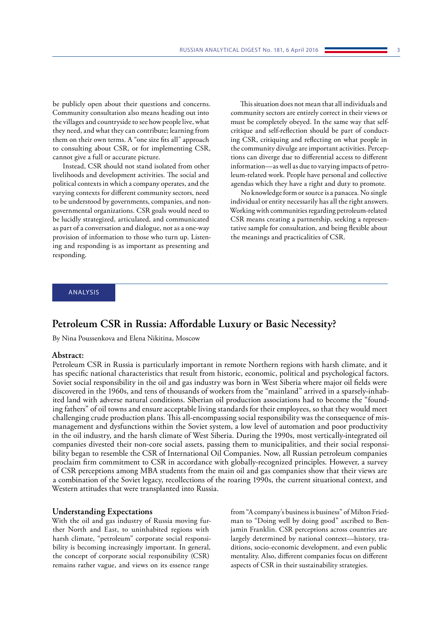<span id="page-2-0"></span>be publicly open about their questions and concerns. Community consultation also means heading out into the villages and countryside to see how people live, what they need, and what they can contribute; learning from them on their own terms. A "one size fits all" approach to consulting about CSR, or for implementing CSR, cannot give a full or accurate picture.

Instead, CSR should not stand isolated from other livelihoods and development activities. The social and political contexts in which a company operates, and the varying contexts for different community sectors, need to be understood by governments, companies, and nongovernmental organizations. CSR goals would need to be lucidly strategized, articulated, and communicated as part of a conversation and dialogue, not as a one-way provision of information to those who turn up. Listening and responding is as important as presenting and responding.

This situation does not mean that all individuals and community sectors are entirely correct in their views or must be completely obeyed. In the same way that selfcritique and self-reflection should be part of conducting CSR, critiquing and reflecting on what people in the community divulge are important activities. Perceptions can diverge due to differential access to different information—as well as due to varying impacts of petroleum-related work. People have personal and collective agendas which they have a right and duty to promote.

No knowledge form or source is a panacea. No single individual or entity necessarily has all the right answers. Working with communities regarding petroleum-related CSR means creating a partnership, seeking a representative sample for consultation, and being flexible about the meanings and practicalities of CSR.

#### ANALYSIS

## **Petroleum CSR in Russia: Affordable Luxury or Basic Necessity?**

By Nina Poussenkova and Elena Nikitina, Moscow

#### **Abstract:**

Petroleum CSR in Russia is particularly important in remote Northern regions with harsh climate, and it has specific national characteristics that result from historic, economic, political and psychological factors. Soviet social responsibility in the oil and gas industry was born in West Siberia where major oil fields were discovered in the 1960s, and tens of thousands of workers from the "mainland" arrived in a sparsely-inhabited land with adverse natural conditions. Siberian oil production associations had to become the "founding fathers" of oil towns and ensure acceptable living standards for their employees, so that they would meet challenging crude production plans. This all-encompassing social responsibility was the consequence of mismanagement and dysfunctions within the Soviet system, a low level of automation and poor productivity in the oil industry, and the harsh climate of West Siberia. During the 1990s, most vertically-integrated oil companies divested their non-core social assets, passing them to municipalities, and their social responsibility began to resemble the CSR of International Oil Companies. Now, all Russian petroleum companies proclaim firm commitment to CSR in accordance with globally-recognized principles. However, a survey of CSR perceptions among MBA students from the main oil and gas companies show that their views are a combination of the Soviet legacy, recollections of the roaring 1990s, the current situational context, and Western attitudes that were transplanted into Russia.

#### **Understanding Expectations**

With the oil and gas industry of Russia moving further North and East, to uninhabited regions with harsh climate, "petroleum" corporate social responsibility is becoming increasingly important. In general, the concept of corporate social responsibility (CSR) remains rather vague, and views on its essence range

from "A company's business is business" of Milton Friedman to "Doing well by doing good" ascribed to Benjamin Franklin. CSR perceptions across countries are largely determined by national context—history, traditions, socio-economic development, and even public mentality. Also, different companies focus on different aspects of CSR in their sustainability strategies.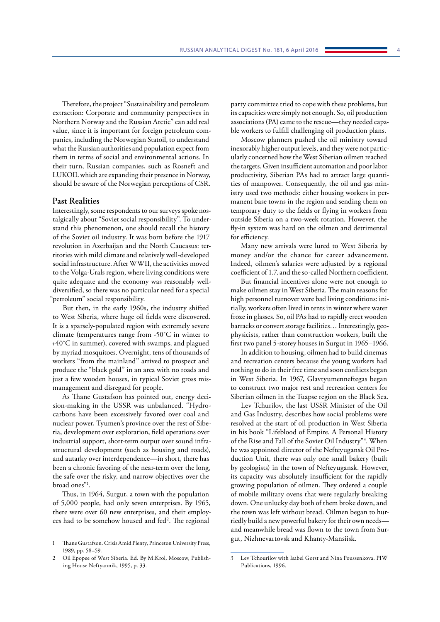Therefore, the project "Sustainability and petroleum extraction: Corporate and community perspectives in Northern Norway and the Russian Arctic" can add real value, since it is important for foreign petroleum companies, including the Norwegian Statoil, to understand what the Russian authorities and population expect from them in terms of social and environmental actions. In their turn, Russian companies, such as Rosneft and LUKOIL which are expanding their presence in Norway, should be aware of the Norwegian perceptions of CSR.

## **Past Realities**

Interestingly, some respondents to our surveys spoke nostalgically about "Soviet social responsibility". To understand this phenomenon, one should recall the history of the Soviet oil industry. It was born before the 1917 revolution in Azerbaijan and the North Caucasus: territories with mild climate and relatively well-developed social infrastructure. After WWII, the activities moved to the Volga-Urals region, where living conditions were quite adequate and the economy was reasonably welldiversified, so there was no particular need for a special "petroleum" social responsibility.

But then, in the early 1960s, the industry shifted to West Siberia, where huge oil fields were discovered. It is a sparsely-populated region with extremely severe climate (temperatures range from -50˚C in winter to +40˚C in summer), covered with swamps, and plagued by myriad mosquitoes. Overnight, tens of thousands of workers "from the mainland" arrived to prospect and produce the "black gold" in an area with no roads and just a few wooden houses, in typical Soviet gross mismanagement and disregard for people.

As Thane Gustafson has pointed out, energy decision-making in the USSR was unbalanced. "Hydrocarbons have been excessively favored over coal and nuclear power, Tyumen's province over the rest of Siberia, development over exploration, field operations over industrial support, short-term output over sound infrastructural development (such as housing and roads), and autarky over interdependence—in short, there has been a chronic favoring of the near-term over the long, the safe over the risky, and narrow objectives over the broad ones"1 .

Thus, in 1964, Surgut, a town with the population of 5,000 people, had only seven enterprises. By 1965, there were over 60 new enterprises, and their employees had to be somehow housed and fed<sup>2</sup>. The regional

party committee tried to cope with these problems, but its capacities were simply not enough. So, oil production associations (PA) came to the rescue—they needed capable workers to fulfill challenging oil production plans.

Moscow planners pushed the oil ministry toward inexorably higher output levels, and they were not particularly concerned how the West Siberian oilmen reached the targets. Given insufficient automation and poor labor productivity, Siberian PAs had to attract large quantities of manpower. Consequently, the oil and gas ministry used two methods: either housing workers in permanent base towns in the region and sending them on temporary duty to the fields or flying in workers from outside Siberia on a two-week rotation. However, the fly-in system was hard on the oilmen and detrimental for efficiency.

Many new arrivals were lured to West Siberia by money and/or the chance for career advancement. Indeed, oilmen's salaries were adjusted by a regional coefficient of 1.7, and the so-called Northern coefficient.

But financial incentives alone were not enough to make oilmen stay in West Siberia. The main reasons for high personnel turnover were bad living conditions: initially, workers often lived in tents in winter where water froze in glasses. So, oil PAs had to rapidly erect wooden barracks or convert storage facilities… Interestingly, geophysicists, rather than construction workers, built the first two panel 5-storey houses in Surgut in 1965–1966.

In addition to housing, oilmen had to build cinemas and recreation centers because the young workers had nothing to do in their free time and soon conflicts began in West Siberia. In 1967, Glavtyumenneftegas began to construct two major rest and recreation centers for Siberian oilmen in the Tuapse region on the Black Sea.

Lev Tchurilov, the last USSR Minister of the Oil and Gas Industry, describes how social problems were resolved at the start of oil production in West Siberia in his book "Lifeblood of Empire. A Personal History of the Rise and Fall of the Soviet Oil Industry"3 . When he was appointed director of the Nefteyugansk Oil Production Unit, there was only one small bakery (built by geologists) in the town of Nefteyugansk. However, its capacity was absolutely insufficient for the rapidly growing population of oilmen. They ordered a couple of mobile military ovens that were regularly breaking down. One unlucky day both of them broke down, and the town was left without bread. Oilmen began to hurriedly build a new powerful bakery for their own needs and meanwhile bread was flown to the town from Surgut, Nizhnevartovsk and Khanty-Mansiisk.

<sup>1</sup> Thane Gustafson. Crisis Amid Plenty, Princeton University Press, 1989, pp. 58–59.

<sup>2</sup> Oil Epopee of West Siberia. Ed. By M.Krol, Moscow, Publishing House Neftyannik, 1995, p. 33.

<sup>3</sup> Lev Tchourilov with Isabel Gorst and Nina Poussenkova. PIW Publications, 1996.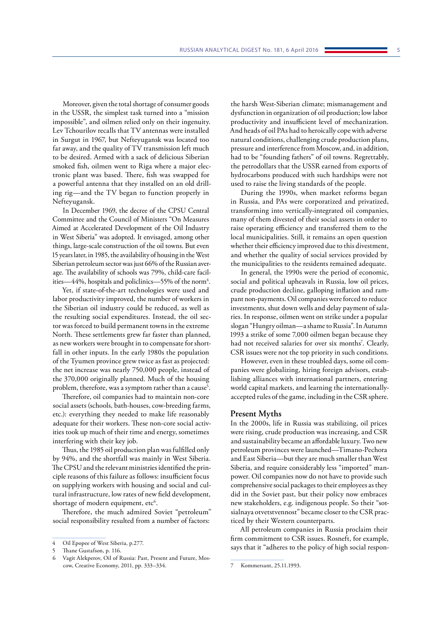Moreover, given the total shortage of consumer goods in the USSR, the simplest task turned into a "mission impossible", and oilmen relied only on their ingenuity. Lev Tchourilov recalls that TV antennas were installed in Surgut in 1967, but Nefteyugansk was located too far away, and the quality of TV transmission left much to be desired. Armed with a sack of delicious Siberian smoked fish, oilmen went to Riga where a major electronic plant was based. There, fish was swapped for a powerful antenna that they installed on an old drilling rig—and the TV began to function properly in Nefteyugansk.

In December 1969, the decree of the CPSU Central Committee and the Council of Ministers "On Measures Aimed at Accelerated Development of the Oil Industry in West Siberia" was adopted. It envisaged, among other things, large-scale construction of the oil towns. But even 15 years later, in 1985, the availability of housing in the West Siberian petroleum sector was just 66% of the Russian average. The availability of schools was 79%, child-care facilities—44%, hospitals and policlinics—55% of the norm<sup>4</sup>.

Yet, if state-of-the-art technologies were used and labor productivity improved, the number of workers in the Siberian oil industry could be reduced, as well as the resulting social expenditures. Instead, the oil sector was forced to build permanent towns in the extreme North. These settlements grew far faster than planned, as new workers were brought in to compensate for shortfall in other inputs. In the early 1980s the population of the Tyumen province grew twice as fast as projected: the net increase was nearly 750,000 people, instead of the 370,000 originally planned. Much of the housing problem, therefore, was a symptom rather than a cause<sup>5</sup>.

Therefore, oil companies had to maintain non-core social assets (schools, bath-houses, cow-breeding farms, etc.): everything they needed to make life reasonably adequate for their workers. These non-core social activities took up much of their time and energy, sometimes interfering with their key job.

Thus, the 1985 oil production plan was fulfilled only by 94%, and the shortfall was mainly in West Siberia. The CPSU and the relevant ministries identified the principle reasons of this failure as follows: insufficient focus on supplying workers with housing and social and cultural infrastructure, low rates of new field development, shortage of modern equipment, etc<sup>6</sup>.

Therefore, the much admired Soviet "petroleum" social responsibility resulted from a number of factors:

the harsh West-Siberian climate; mismanagement and dysfunction in organization of oil production; low labor productivity and insufficient level of mechanization. And heads of oil PAs had to heroically cope with adverse natural conditions, challenging crude production plans, pressure and interference from Moscow, and, in addition, had to be "founding fathers" of oil towns. Regrettably, the petrodollars that the USSR earned from exports of hydrocarbons produced with such hardships were not used to raise the living standards of the people.

During the 1990s, when market reforms began in Russia, and PAs were corporatized and privatized, transforming into vertically-integrated oil companies, many of them divested of their social assets in order to raise operating efficiency and transferred them to the local municipalities. Still, it remains an open question whether their efficiency improved due to this divestment, and whether the quality of social services provided by the municipalities to the residents remained adequate.

In general, the 1990s were the period of economic, social and political upheavals in Russia, low oil prices, crude production decline, galloping inflation and rampant non-payments. Oil companies were forced to reduce investments, shut down wells and delay payment of salaries. In response, oilmen went on strike under a popular slogan "Hungry oilman—a shame to Russia". In Autumn 1993 a strike of some 7,000 oilmen began because they had not received salaries for over six months<sup>7</sup>. Clearly, CSR issues were not the top priority in such conditions.

However, even in these troubled days, some oil companies were globalizing, hiring foreign advisors, establishing alliances with international partners, entering world capital markets, and learning the internationallyaccepted rules of the game, including in the CSR sphere.

#### **Present Myths**

In the 2000s, life in Russia was stabilizing, oil prices were rising, crude production was increasing, and CSR and sustainability became an affordable luxury. Two new petroleum provinces were launched—Timano-Pechora and East Siberia—but they are much smaller than West Siberia, and require considerably less "imported" manpower. Oil companies now do not have to provide such comprehensive social packages to their employees as they did in the Soviet past, but their policy now embraces new stakeholders, e.g. indigenous people. So their "sotsialnaya otvetstvennost" became closer to the CSR practiced by their Western counterparts.

All petroleum companies in Russia proclaim their firm commitment to CSR issues. Rosneft, for example, says that it "adheres to the policy of high social respon-

Oil Epopee of West Siberia, p.277.

Thane Gustafson, p. 116.

Vagit Alekperov, Oil of Russia: Past, Present and Future, Moscow, Creative Economy, 2011, pp. 333–334.

<sup>7</sup> Kommersant, 25.11.1993.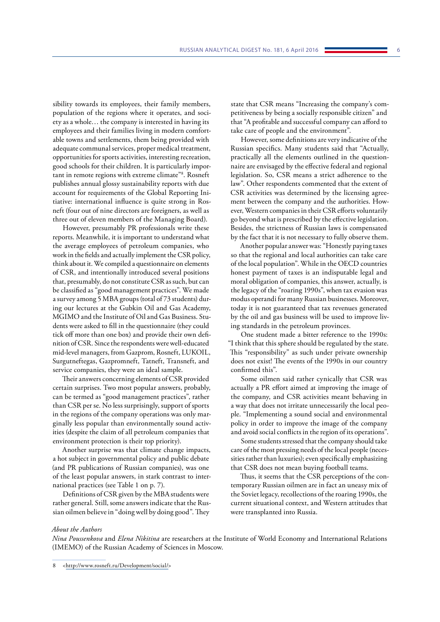sibility towards its employees, their family members, population of the regions where it operates, and society as a whole… the company is interested in having its employees and their families living in modern comfortable towns and settlements, them being provided with adequate communal services, proper medical treatment, opportunities for sports activities, interesting recreation, good schools for their children. It is particularly important in remote regions with extreme climate"8 . Rosneft publishes annual glossy sustainability reports with due account for requirements of the Global Reporting Initiative: international influence is quite strong in Rosneft (four out of nine directors are foreigners, as well as three out of eleven members of the Managing Board).

However, presumably PR professionals write these reports. Meanwhile, it is important to understand what the average employees of petroleum companies, who work in the fields and actually implement the CSR policy, think about it. We compiled a questionnaire on elements of CSR, and intentionally introduced several positions that, presumably, do not constitute CSR as such, but can be classified as "good management practices". We made a survey among 5 MBA groups (total of 73 students) during our lectures at the Gubkin Oil and Gas Academy, MGIMO and the Institute of Oil and Gas Business. Students were asked to fill in the questionnaire (they could tick off more than one box) and provide their own definition of CSR. Since the respondents were well-educated mid-level managers, from Gazprom, Rosneft, LUKOIL, Surgutneftegas, Gazpromneft, Tatneft, Transneft, and service companies, they were an ideal sample.

Their answers concerning elements of CSR provided certain surprises. Two most popular answers, probably, can be termed as "good management practices", rather than CSR per se. No less surprisingly, support of sports in the regions of the company operations was only marginally less popular than environmentally sound activities (despite the claim of all petroleum companies that environment protection is their top priority).

Another surprise was that climate change impacts, a hot subject in governmental policy and public debate (and PR publications of Russian companies), was one of the least popular answers, in stark contrast to international practices (see Table 1 on p. 7).

Definitions of CSR given by the MBA students were rather general. Still, some answers indicate that the Russian oilmen believe in "doing well by doing good". They state that CSR means "Increasing the company's competitiveness by being a socially responsible citizen" and that "A profitable and successful company can afford to take care of people and the environment".

However, some definitions are very indicative of the Russian specifics. Many students said that "Actually, practically all the elements outlined in the questionnaire are envisaged by the effective federal and regional legislation. So, CSR means a strict adherence to the law". Other respondents commented that the extent of CSR activities was determined by the licensing agreement between the company and the authorities. However, Western companies in their CSR efforts voluntarily go beyond what is prescribed by the effective legislation. Besides, the strictness of Russian laws is compensated by the fact that it is not necessary to fully observe them.

Another popular answer was: "Honestly paying taxes so that the regional and local authorities can take care of the local population". While in the OECD countries honest payment of taxes is an indisputable legal and moral obligation of companies, this answer, actually, is the legacy of the "roaring 1990s", when tax evasion was modus operandi for many Russian businesses. Moreover, today it is not guaranteed that tax revenues generated by the oil and gas business will be used to improve living standards in the petroleum provinces.

One student made a bitter reference to the 1990s: "I think that this sphere should be regulated by the state. This "responsibility" as such under private ownership does not exist! The events of the 1990s in our country confirmed this".

Some oilmen said rather cynically that CSR was actually a PR effort aimed at improving the image of the company, and CSR activities meant behaving in a way that does not irritate unnecessarily the local people. "Implementing a sound social and environmental policy in order to improve the image of the company and avoid social conflicts in the region of its operations".

Some students stressed that the company should take care of the most pressing needs of the local people (necessities rather than luxuries); even specifically emphasizing that CSR does not mean buying football teams.

Thus, it seems that the CSR perceptions of the contemporary Russian oilmen are in fact an uneasy mix of the Soviet legacy, recollections of the roaring 1990s, the current situational context, and Western attitudes that were transplanted into Russia.

#### *About the Authors*

*Nina Poussenkova* and *Elena Nikitina* are researchers at the Institute of World Economy and International Relations (IMEMO) of the Russian Academy of Sciences in Moscow.

<sup>8</sup> <[http://www.rosneft.ru/Development/social/>](http://www.rosneft.ru/Development/social/)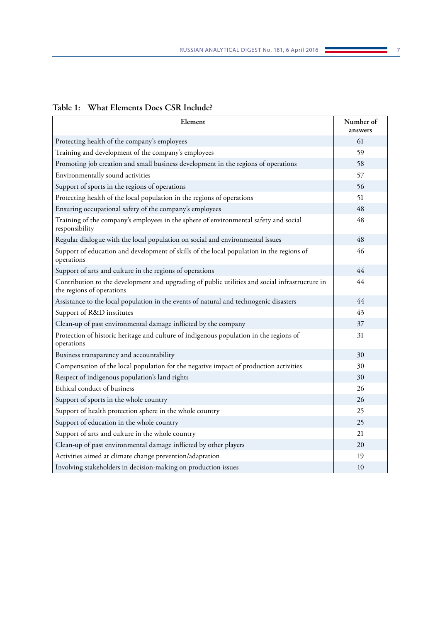## **Table 1: What Elements Does CSR Include?**

| Element                                                                                                                     | Number of<br>answers |
|-----------------------------------------------------------------------------------------------------------------------------|----------------------|
| Protecting health of the company's employees                                                                                | 61                   |
| Training and development of the company's employees                                                                         | 59                   |
| Promoting job creation and small business development in the regions of operations                                          | 58                   |
| Environmentally sound activities                                                                                            | 57                   |
| Support of sports in the regions of operations                                                                              | 56                   |
| Protecting health of the local population in the regions of operations                                                      | 51                   |
| Ensuring occupational safety of the company's employees                                                                     | 48                   |
| Training of the company's employees in the sphere of environmental safety and social<br>responsibility                      | 48                   |
| Regular dialogue with the local population on social and environmental issues                                               | 48                   |
| Support of education and development of skills of the local population in the regions of<br>operations                      | 46                   |
| Support of arts and culture in the regions of operations                                                                    | 44                   |
| Contribution to the development and upgrading of public utilities and social infrastructure in<br>the regions of operations | 44                   |
| Assistance to the local population in the events of natural and technogenic disasters                                       | 44                   |
| Support of R&D institutes                                                                                                   | 43                   |
| Clean-up of past environmental damage inflicted by the company                                                              | 37                   |
| Protection of historic heritage and culture of indigenous population in the regions of<br>operations                        | 31                   |
| Business transparency and accountability                                                                                    | 30                   |
| Compensation of the local population for the negative impact of production activities                                       | 30                   |
| Respect of indigenous population's land rights                                                                              | 30                   |
| Ethical conduct of business                                                                                                 | 26                   |
| Support of sports in the whole country                                                                                      | 26                   |
| Support of health protection sphere in the whole country                                                                    | 25                   |
| Support of education in the whole country                                                                                   | 25                   |
| Support of arts and culture in the whole country                                                                            | 21                   |
| Clean-up of past environmental damage inflicted by other players                                                            | 20                   |
| Activities aimed at climate change prevention/adaptation                                                                    | 19                   |
| Involving stakeholders in decision-making on production issues                                                              | 10                   |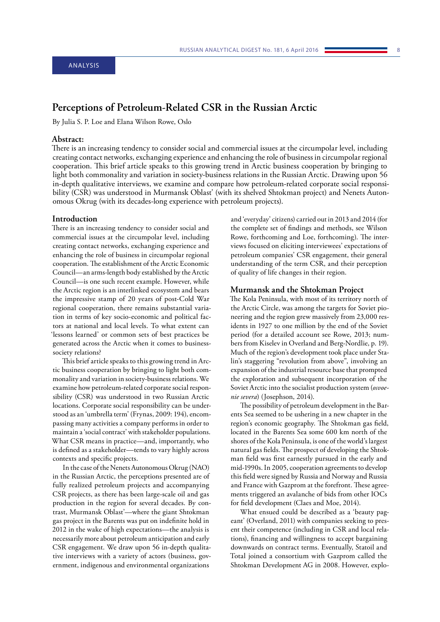# <span id="page-7-0"></span>**Perceptions of Petroleum-Related CSR in the Russian Arctic**

By Julia S. P. Loe and Elana Wilson Rowe, Oslo

## **Abstract:**

There is an increasing tendency to consider social and commercial issues at the circumpolar level, including creating contact networks, exchanging experience and enhancing the role of business in circumpolar regional cooperation. This brief article speaks to this growing trend in Arctic business cooperation by bringing to light both commonality and variation in society-business relations in the Russian Arctic. Drawing upon 56 in-depth qualitative interviews, we examine and compare how petroleum-related corporate social responsibility (CSR) was understood in Murmansk Oblast' (with its shelved Shtokman project) and Nenets Autonomous Okrug (with its decades-long experience with petroleum projects).

#### **Introduction**

There is an increasing tendency to consider social and commercial issues at the circumpolar level, including creating contact networks, exchanging experience and enhancing the role of business in circumpolar regional cooperation. The establishment of the Arctic Economic Council—an arms-length body established by the Arctic Council—is one such recent example. However, while the Arctic region is an interlinked ecosystem and bears the impressive stamp of 20 years of post-Cold War regional cooperation, there remains substantial variation in terms of key socio-economic and political factors at national and local levels. To what extent can 'lessons learned' or common sets of best practices be generated across the Arctic when it comes to businesssociety relations?

This brief article speaks to this growing trend in Arctic business cooperation by bringing to light both commonality and variation in society-business relations. We examine how petroleum-related corporate social responsibility (CSR) was understood in two Russian Arctic locations. Corporate social responsibility can be understood as an 'umbrella term' (Frynas, 2009: 194), encompassing many activities a company performs in order to maintain a 'social contract' with stakeholder populations. What CSR means in practice—and, importantly, who is defined as a stakeholder—tends to vary highly across contexts and specific projects.

In the case of the Nenets Autonomous Okrug (NAO) in the Russian Arctic, the perceptions presented are of fully realized petroleum projects and accompanying CSR projects, as there has been large-scale oil and gas production in the region for several decades. By contrast, Murmansk Oblast'—where the giant Shtokman gas project in the Barents was put on indefinite hold in 2012 in the wake of high expectations—the analysis is necessarily more about petroleum anticipation and early CSR engagement. We draw upon 56 in-depth qualitative interviews with a variety of actors (business, government, indigenous and environmental organizations

and 'everyday' citizens) carried out in 2013 and 2014 (for the complete set of findings and methods, see Wilson Rowe, forthcoming and Loe, forthcoming). The interviews focused on eliciting interviewees' expectations of petroleum companies' CSR engagement, their general understanding of the term CSR, and their perception of quality of life changes in their region.

#### **Murmansk and the Shtokman Project**

The Kola Peninsula, with most of its territory north of the Arctic Circle, was among the targets for Soviet pioneering and the region grew massively from 23,000 residents in 1927 to one million by the end of the Soviet period (for a detailed account see Rowe, 2013; numbers from Kiselev in Overland and Berg-Nordlie, p. 19). Much of the region's development took place under Stalin's staggering "revolution from above", involving an expansion of the industrial resource base that prompted the exploration and subsequent incorporation of the Soviet Arctic into the socialist production system (*osvoenie severa*) (Josephson, 2014).

The possibility of petroleum development in the Barents Sea seemed to be ushering in a new chapter in the region's economic geography. The Shtokman gas field, located in the Barents Sea some 600 km north of the shores of the Kola Peninsula, is one of the world's largest natural gas fields. The prospect of developing the Shtokman field was first earnestly pursued in the early and mid-1990s. In 2005, cooperation agreements to develop this field were signed by Russia and Norway and Russia and France with Gazprom at the forefront. These agreements triggered an avalanche of bids from other IOCs for field development (Claes and Moe, 2014).

What ensued could be described as a 'beauty pageant' (Overland, 2011) with companies seeking to present their competence (including in CSR and local relations), financing and willingness to accept bargaining downwards on contract terms. Eventually, Statoil and Total joined a consortium with Gazprom called the Shtokman Development AG in 2008. However, explo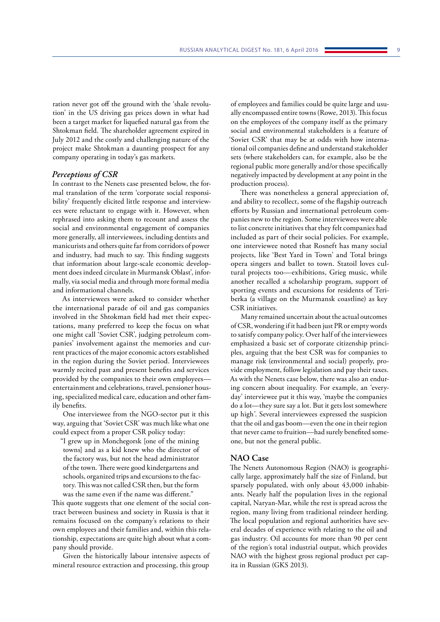ration never got off the ground with the 'shale revolution' in the US driving gas prices down in what had been a target market for liquefied natural gas from the Shtokman field. The shareholder agreement expired in July 2012 and the costly and challenging nature of the project make Shtokman a daunting prospect for any company operating in today's gas markets.

## *Perceptions of CSR*

In contrast to the Nenets case presented below, the formal translation of the term 'corporate social responsibility' frequently elicited little response and interviewees were reluctant to engage with it. However, when rephrased into asking them to recount and assess the social and environmental engagement of companies more generally, all interviewees, including dentists and manicurists and others quite far from corridors of power and industry, had much to say. This finding suggests that information about large-scale economic development does indeed circulate in Murmansk Oblast', informally, via social media and through more formal media and informational channels.

As interviewees were asked to consider whether the international parade of oil and gas companies involved in the Shtokman field had met their expectations, many preferred to keep the focus on what one might call 'Soviet CSR', judging petroleum companies' involvement against the memories and current practices of the major economic actors established in the region during the Soviet period. Interviewees warmly recited past and present benefits and services provided by the companies to their own employees entertainment and celebrations, travel, pensioner housing, specialized medical care, education and other family benefits.

One interviewee from the NGO-sector put it this way, arguing that 'Soviet CSR' was much like what one could expect from a proper CSR policy today:

"I grew up in Monchegorsk [one of the mining towns] and as a kid knew who the director of the factory was, but not the head administrator of the town. There were good kindergartens and schools, organized trips and excursions to the factory. This was not called CSR then, but the form was the same even if the name was different."

This quote suggests that one element of the social contract between business and society in Russia is that it remains focused on the company's relations to their own employees and their families and, within this relationship, expectations are quite high about what a company should provide.

Given the historically labour intensive aspects of mineral resource extraction and processing, this group

of employees and families could be quite large and usually encompassed entire towns (Rowe, 2013). This focus on the employees of the company itself as the primary social and environmental stakeholders is a feature of 'Soviet CSR' that may be at odds with how international oil companies define and understand stakeholder sets (where stakeholders can, for example, also be the regional public more generally and/or those specifically negatively impacted by development at any point in the production process).

There was nonetheless a general appreciation of, and ability to recollect, some of the flagship outreach efforts by Russian and international petroleum companies new to the region. Some interviewees were able to list concrete initiatives that they felt companies had included as part of their social policies. For example, one interviewee noted that Rosneft has many social projects, like 'Best Yard in Town' and Total brings opera singers and ballet to town. Statoil loves cultural projects too—exhibitions, Grieg music, while another recalled a scholarship program, support of sporting events and excursions for residents of Teriberka (a village on the Murmansk coastline) as key CSR initiatives.

Many remained uncertain about the actual outcomes of CSR, wondering if it had been just PR or empty words to satisfy company policy. Over half of the interviewees emphasized a basic set of corporate citizenship principles, arguing that the best CSR was for companies to manage risk (environmental and social) properly, provide employment, follow legislation and pay their taxes. As with the Nenets case below, there was also an enduring concern about inequality. For example, an 'everyday' interviewee put it this way, 'maybe the companies do a lot—they sure say a lot. But it gets lost somewhere up high'. Several interviewees expressed the suspicion that the oil and gas boom—even the one in their region that never came to fruition—had surely benefited someone, but not the general public.

## **NAO Case**

The Nenets Autonomous Region (NAO) is geographically large, approximately half the size of Finland, but sparsely populated, with only about 43,000 inhabitants. Nearly half the population lives in the regional capital, Naryan-Mar, while the rest is spread across the region, many living from traditional reindeer herding. The local population and regional authorities have several decades of experience with relating to the oil and gas industry. Oil accounts for more than 90 per cent of the region´s total industrial output, which provides NAO with the highest gross regional product per capita in Russian (GKS 2013).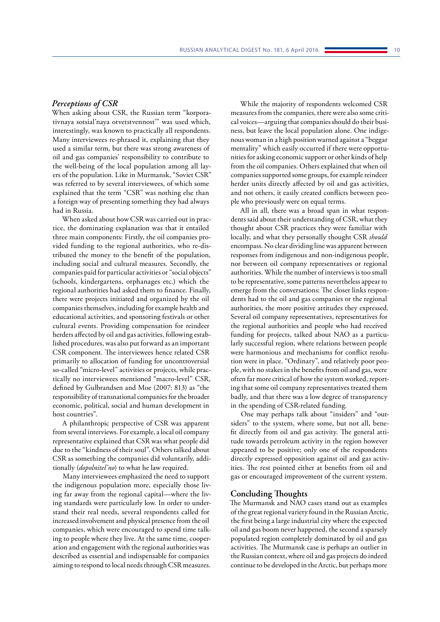### *Perceptions of CSR*

When asking about CSR, the Russian term "korporativnaya sotsial'naya otvetstvennost'" was used which, interestingly, was known to practically all respondents. Many interviewees re-phrased it, explaining that they used a similar term, but there was strong awareness of oil and gas companies' responsibility to contribute to the well-being of the local population among all layers of the population. Like in Murmansk, "Soviet CSR" was referred to by several interviewees, of which some explained that the term "CSR" was nothing else than a foreign way of presenting something they had always had in Russia.

When asked about how CSR was carried out in practice, the dominating explanation was that it entailed three main components: Firstly, the oil companies provided funding to the regional authorities, who re-distributed the money to the benefit of the population, including social and cultural measures. Secondly, the companies paid for particular activities or "social objects" (schools, kindergartens, orphanages etc.) which the regional authorities had asked them to finance. Finally, there were projects initiated and organized by the oil companies themselves, including for example health and educational activities, and sponsoring festivals or other cultural events. Providing compensation for reindeer herders affected by oil and gas activities, following established procedures, was also put forward as an important CSR component. The interviewees hence related CSR primarily to allocation of funding for uncontroversial so-called "micro-level" activities or projects, while practically no interviewees mentioned "macro-level" CSR, defined by Gulbrandsen and Moe (2007: 813) as "the responsibility of transnational companies for the broader economic, political, social and human development in host countries".

A philanthropic perspective of CSR was apparent from several interviews. For example, a local oil company representative explained that CSR was what people did due to the "kindness of their soul". Others talked about CSR as something the companies did voluntarily, additionally (*dopolnitel'no*) to what he law required.

Many interviewees emphasized the need to support the indigenous population more, especially those living far away from the regional capital—where the living standards were particularly low. In order to understand their real needs, several respondents called for increased involvement and physical presence from the oil companies, which were encouraged to spend time talking to people where they live. At the same time, cooperation and engagement with the regional authorities was described as essential and indispensable for companies aiming to respond to local needs through CSR measures.

While the majority of respondents welcomed CSR measures from the companies, there were also some critical voices—arguing that companies should do their business, but leave the local population alone. One indigenous woman in a high position warned against a "beggar mentality" which easily occurred if there were opportunities for asking economic support or other kinds of help from the oil companies. Others explained that when oil companies supported some groups, for example reindeer herder units directly affected by oil and gas activities, and not others, it easily created conflicts between people who previously were on equal terms.

All in all, there was a broad span in what respondents said about their understanding of CSR, what they thought about CSR practices they were familiar with locally, and what they personally thought CSR *should* encompass. No clear dividing line was apparent between responses from indigenous and non-indigenous people, nor between oil company representatives or regional authorities. While the number of interviews is too small to be representative, some patterns nevertheless appear to emerge from the conversations: The closer links respondents had to the oil and gas companies or the regional authorities, the more positive attitudes they expressed. Several oil company representatives, representatives for the regional authorities and people who had received funding for projects, talked about NAO as a particularly successful region, where relations between people were harmonious and mechanisms for conflict resolution were in place. "Ordinary", and relatively poor people, with no stakes in the benefits from oil and gas, were often far more critical of how the system worked, reporting that some oil company representatives treated them badly, and that there was a low degree of transparency in the spending of CSR-related funding.

One may perhaps talk about "insiders" and "outsiders" to the system, where some, but not all, benefit directly from oil and gas activity. The general attitude towards petroleum activity in the region however appeared to be positive; only one of the respondents directly expressed opposition against oil and gas activities. The rest pointed either at benefits from oil and gas or encouraged improvement of the current system.

## **Concluding Thoughts**

The Murmansk and NAO cases stand out as examples of the great regional variety found in the Russian Arctic, the first being a large industrial city where the expected oil and gas boom never happened, the second a sparsely populated region completely dominated by oil and gas activities. The Murmansk case is perhaps an outlier in the Russian context, where oil and gas projects do indeed continue to be developed in the Arctic, but perhaps more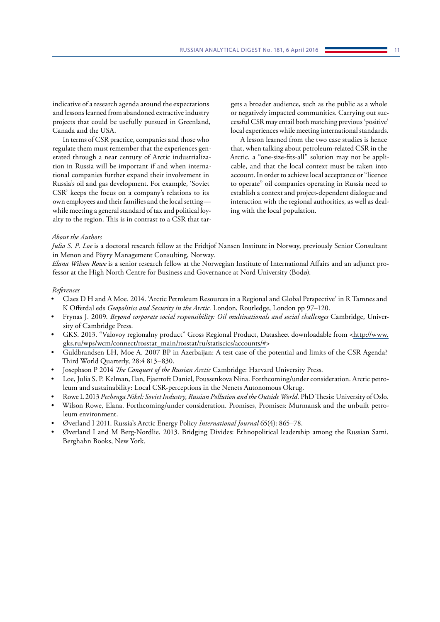indicative of a research agenda around the expectations and lessons learned from abandoned extractive industry projects that could be usefully pursued in Greenland, Canada and the USA.

In terms of CSR practice, companies and those who regulate them must remember that the experiences generated through a near century of Arctic industrialization in Russia will be important if and when international companies further expand their involvement in Russia's oil and gas development. For example, 'Soviet CSR' keeps the focus on a company's relations to its own employees and their families and the local setting while meeting a general standard of tax and political loyalty to the region. This is in contrast to a CSR that targets a broader audience, such as the public as a whole or negatively impacted communities. Carrying out successful CSR may entail both matching previous 'positive' local experiences while meeting international standards.

A lesson learned from the two case studies is hence that, when talking about petroleum-related CSR in the Arctic, a "one-size-fits-all" solution may not be applicable, and that the local context must be taken into account. In order to achieve local acceptance or "licence to operate" oil companies operating in Russia need to establish a context and project-dependent dialogue and interaction with the regional authorities, as well as dealing with the local population.

#### *About the Authors*

*Julia S. P. Loe* is a doctoral research fellow at the Fridtjof Nansen Institute in Norway, previously Senior Consultant in Menon and Pöyry Management Consulting, Norway.

*Elana Wilson Rowe* is a senior research fellow at the Norwegian Institute of International Affairs and an adjunct professor at the High North Centre for Business and Governance at Nord University (Bodø).

#### *References*

- Claes D H and A Moe. 2014. 'Arctic Petroleum Resources in a Regional and Global Perspective' in R Tamnes and K Offerdal eds *Geopolitics and Security in the Arctic.* London, Routledge, London pp 97–120.
- Frynas J. 2009. *Beyond corporate social responsibility: Oil multinationals and social challenges* Cambridge, University of Cambridge Press.
- GKS. 2013. "Valovoy regionalny product" Gross Regional Product, Datasheet downloadable from [<http://www.](http://www.gks.ru/wps/wcm/connect/rosstat_main/rosstat/ru/statiscics/accounts/#) [gks.ru/wps/wcm/connect/rosstat\\_main/rosstat/ru/statiscics/accounts/#](http://www.gks.ru/wps/wcm/connect/rosstat_main/rosstat/ru/statiscics/accounts/#)>
- Guldbrandsen LH, Moe A. 2007 BP in Azerbaijan: A test case of the potential and limits of the CSR Agenda? Third World Quarterly, 28:4 813–830.
- Josephson P 2014 *The Conquest of the Russian Arctic* Cambridge: Harvard University Press.
- Loe, Julia S. P. Kelman, Ilan, Fjaertoft Daniel, Poussenkova Nina. Forthcoming/under consideration. Arctic petroleum and sustainability: Local CSR-perceptions in the Nenets Autonomous Okrug.
- Rowe L 2013 *Pechenga Nikel: Soviet Industry, Russian Pollution and the Outside World.* PhD Thesis: University of Oslo.
- Wilson Rowe, Elana. Forthcoming/under consideration. Promises, Promises: Murmansk and the unbuilt petroleum environment.
- Øverland I 2011. Russia's Arctic Energy Policy *International Journal* 65(4): 865–78.
- Øverland I and M Berg-Nordlie. 2013. Bridging Divides: Ethnopolitical leadership among the Russian Sami. Berghahn Books, New York.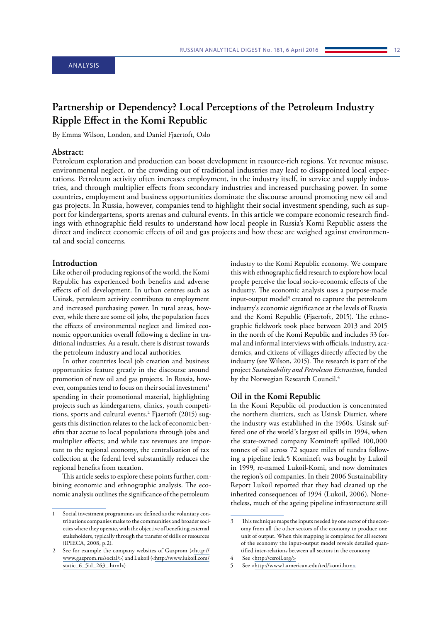## <span id="page-11-0"></span>ANALYSIS

## **Partnership or Dependency? Local Perceptions of the Petroleum Industry Ripple Effect in the Komi Republic**

By Emma Wilson, London, and Daniel Fjaertoft, Oslo

## **Abstract:**

Petroleum exploration and production can boost development in resource-rich regions. Yet revenue misuse, environmental neglect, or the crowding out of traditional industries may lead to disappointed local expectations. Petroleum activity often increases employment, in the industry itself, in service and supply industries, and through multiplier effects from secondary industries and increased purchasing power. In some countries, employment and business opportunities dominate the discourse around promoting new oil and gas projects. In Russia, however, companies tend to highlight their social investment spending, such as support for kindergartens, sports arenas and cultural events. In this article we compare economic research findings with ethnographic field results to understand how local people in Russia's Komi Republic assess the direct and indirect economic effects of oil and gas projects and how these are weighed against environmental and social concerns.

### **Introduction**

Like other oil-producing regions of the world, the Komi Republic has experienced both benefits and adverse effects of oil development. In urban centres such as Usinsk, petroleum activity contributes to employment and increased purchasing power. In rural areas, however, while there are some oil jobs, the population faces the effects of environmental neglect and limited economic opportunities overall following a decline in traditional industries. As a result, there is distrust towards the petroleum industry and local authorities.

In other countries local job creation and business opportunities feature greatly in the discourse around promotion of new oil and gas projects. In Russia, however, companies tend to focus on their social investment<sup>1</sup> spending in their promotional material, highlighting projects such as kindergartens, clinics, youth competitions, sports and cultural events.2 Fjaertoft (2015) suggests this distinction relates to the lack of economic benefits that accrue to local populations through jobs and multiplier effects; and while tax revenues are important to the regional economy, the centralisation of tax collection at the federal level substantially reduces the regional benefits from taxation.

This article seeks to explore these points further, combining economic and ethnographic analysis. The economic analysis outlines the significance of the petroleum

industry to the Komi Republic economy. We compare this with ethnographic field research to explore how local people perceive the local socio-economic effects of the industry. The economic analysis uses a purpose-made input-output model<sup>3</sup> created to capture the petroleum industry's economic significance at the levels of Russia and the Komi Republic (Fjaertoft, 2015). The ethnographic fieldwork took place between 2013 and 2015 in the north of the Komi Republic and includes 33 formal and informal interviews with officials, industry, academics, and citizens of villages directly affected by the industry (see Wilson, 2015). The research is part of the project *Sustainability and Petroleum Extraction*, funded by the Norwegian Research Council.4

#### **Oil in the Komi Republic**

In the Komi Republic oil production is concentrated the northern districts, such as Usinsk District, where the industry was established in the 1960s. Usinsk suffered one of the world's largest oil spills in 1994, when the state-owned company Komineft spilled 100,000 tonnes of oil across 72 square miles of tundra following a pipeline leak.5 Komineft was bought by Lukoil in 1999, re-named Lukoil-Komi, and now dominates the region's oil companies. In their 2006 Sustainability Report Lukoil reported that they had cleaned up the inherited consequences of 1994 (Lukoil, 2006). Nonetheless, much of the ageing pipeline infrastructure still

<sup>1</sup> Social investment programmes are defined as the voluntary contributions companies make to the communities and broader societies where they operate, with the objective of benefiting external stakeholders, typically through the transfer of skills or resources (IPIECA, 2008, p.2).

See for example the company websites of Gazprom (<[http://](http://www.gazprom.ru/social/) [www.gazprom.ru/social/](http://www.gazprom.ru/social/)>) and Lukoil (<[http://www.lukoil.com/](http://www.lukoil.com/static_6_5id_263_.html) [static\\_6\\_5id\\_263\\_.html](http://www.lukoil.com/static_6_5id_263_.html)>)

<sup>3</sup> This technique maps the inputs needed by one sector of the economy from all the other sectors of the economy to produce one unit of output. When this mapping is completed for all sectors of the economy the input-output model reveals detailed quantified inter-relations between all sectors in the economy

<sup>4</sup> See <[http://csroil.org/>](http://csroil.org/)

<sup>5</sup> See <<http://www1.american.edu/ted/komi.htm>>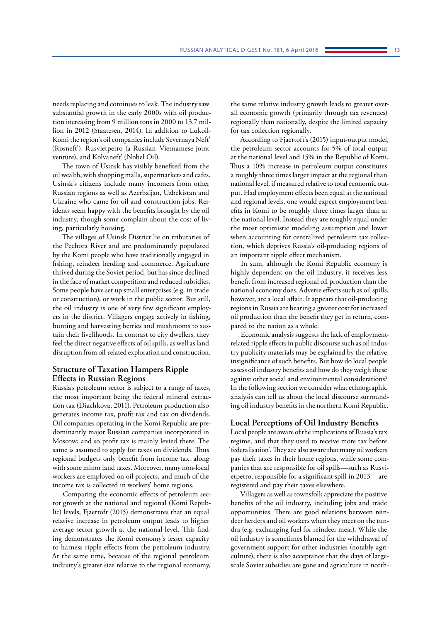needs replacing and continues to leak. The industry saw substantial growth in the early 2000s with oil production increasing from 9 million tons in 2000 to 13.7 million in 2012 (Staatesen, 2014). In addition to Lukoil-Komi the region's oil companies include Severnaya Neft' (Rosneft'), Rusvietpetro (a Russian–Vietnamese joint venture), and Kolvaneft' (Nobel Oil).

The town of Usinsk has visibly benefited from the oil wealth, with shopping malls, supermarkets and cafes. Usinsk's citizens include many incomers from other Russian regions as well as Azerbaijan, Uzbekistan and Ukraine who came for oil and construction jobs. Residents seem happy with the benefits brought by the oil industry, though some complain about the cost of living, particularly housing.

The villages of Usinsk District lie on tributaries of the Pechora River and are predominantly populated by the Komi people who have traditionally engaged in fishing, reindeer herding and commerce. Agriculture thrived during the Soviet period, but has since declined in the face of market competition and reduced subsidies. Some people have set up small enterprises (e.g. in trade or construction), or work in the public sector. But still, the oil industry is one of very few significant employers in the district. Villagers engage actively in fishing, hunting and harvesting berries and mushrooms to sustain their livelihoods. In contrast to city dwellers, they feel the direct negative effects of oil spills, as well as land disruption from oil-related exploration and construction.

## **Structure of Taxation Hampers Ripple Effects in Russian Regions**

Russia's petroleum sector is subject to a range of taxes, the most important being the federal mineral extraction tax (Diachkova, 2011). Petroleum production also generates income tax, profit tax and tax on dividends. Oil companies operating in the Komi Republic are predominantly major Russian companies incorporated in Moscow; and so profit tax is mainly levied there. The same is assumed to apply for taxes on dividends. Thus regional budgets only benefit from income tax, along with some minor land taxes. Moreover, many non-local workers are employed on oil projects, and much of the income tax is collected in workers' home regions.

Comparing the economic effects of petroleum sector growth at the national and regional (Komi Republic) levels, Fjaertoft (2015) demonstrates that an equal relative increase in petroleum output leads to higher average sector growth at the national level. This finding demonstrates the Komi economy's lesser capacity to harness ripple effects from the petroleum industry. At the same time, because of the regional petroleum industry's greater size relative to the regional economy, the same relative industry growth leads to greater overall economic growth (primarily through tax revenues) regionally than nationally, despite the limited capacity for tax collection regionally.

According to Fjaertoft's (2015) input-output model, the petroleum sector accounts for 5% of total output at the national level and 15% in the Republic of Komi. Thus a 10% increase in petroleum output constitutes a roughly three times larger impact at the regional than national level, if measured relative to total economic output. Had employment effects been equal at the national and regional levels, one would expect employment benefits in Komi to be roughly three times larger than at the national level. Instead they are roughly equal under the most optimistic modeling assumption and lower when accounting for centralized petroleum tax collection, which deprives Russia's oil-producing regions of an important ripple effect mechanism.

In sum, although the Komi Republic economy is highly dependent on the oil industry, it receives less benefit from increased regional oil production than the national economy does. Adverse effects such as oil spills, however, are a local affair. It appears that oil-producing regions in Russia are bearing a greater cost for increased oil production than the benefit they get in return, compared to the nation as a whole.

Economic analysis suggests the lack of employmentrelated ripple effects in public discourse such as oil industry publicity materials may be explained by the relative insignificance of such benefits. But how do local people assess oil industry benefits and how do they weigh these against other social and environmental considerations? In the following section we consider what ethnographic analysis can tell us about the local discourse surrounding oil industry benefits in the northern Komi Republic.

#### **Local Perceptions of Oil Industry Benefits**

Local people are aware of the implications of Russia's tax regime, and that they used to receive more tax before 'federalisation'. They are also aware that many oil workers pay their taxes in their home regions, while some companies that are responsible for oil spills—such as Rusvietpetro, responsible for a significant spill in 2013—are registered and pay their taxes elsewhere.

Villagers as well as townsfolk appreciate the positive benefits of the oil industry, including jobs and trade opportunities. There are good relations between reindeer herders and oil workers when they meet on the tundra (e.g. exchanging fuel for reindeer meat). While the oil industry is sometimes blamed for the withdrawal of government support for other industries (notably agriculture), there is also acceptance that the days of largescale Soviet subsidies are gone and agriculture in north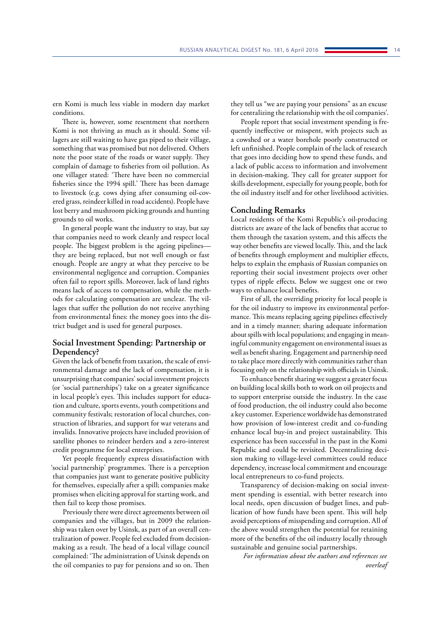ern Komi is much less viable in modern day market conditions.

There is, however, some resentment that northern Komi is not thriving as much as it should. Some villagers are still waiting to have gas piped to their village, something that was promised but not delivered. Others note the poor state of the roads or water supply. They complain of damage to fisheries from oil pollution. As one villager stated: 'There have been no commercial fisheries since the 1994 spill.' There has been damage to livestock (e.g. cows dying after consuming oil-covered grass, reindeer killed in road accidents). People have lost berry and mushroom picking grounds and hunting grounds to oil works.

In general people want the industry to stay, but say that companies need to work cleanly and respect local people. The biggest problem is the ageing pipelines they are being replaced, but not well enough or fast enough. People are angry at what they perceive to be environmental negligence and corruption. Companies often fail to report spills. Moreover, lack of land rights means lack of access to compensation, while the methods for calculating compensation are unclear. The villages that suffer the pollution do not receive anything from environmental fines: the money goes into the district budget and is used for general purposes.

## **Social Investment Spending: Partnership or Dependency?**

Given the lack of benefit from taxation, the scale of environmental damage and the lack of compensation, it is unsurprising that companies' social investment projects (or 'social partnerships') take on a greater significance in local people's eyes. This includes support for education and culture, sports events, youth competitions and community festivals; restoration of local churches, construction of libraries, and support for war veterans and invalids. Innovative projects have included provision of satellite phones to reindeer herders and a zero-interest credit programme for local enterprises.

Yet people frequently express dissatisfaction with 'social partnership' programmes. There is a perception that companies just want to generate positive publicity for themselves, especially after a spill; companies make promises when eliciting approval for starting work, and then fail to keep those promises.

Previously there were direct agreements between oil companies and the villages, but in 2009 the relationship was taken over by Usinsk, as part of an overall centralization of power. People feel excluded from decisionmaking as a result. The head of a local village council complained: 'The administration of Usinsk depends on the oil companies to pay for pensions and so on. Then

they tell us "we are paying your pensions" as an excuse for centralizing the relationship with the oil companies'.

People report that social investment spending is frequently ineffective or misspent, with projects such as a cowshed or a water borehole poorly constructed or left unfinished. People complain of the lack of research that goes into deciding how to spend these funds, and a lack of public access to information and involvement in decision-making. They call for greater support for skills development, especially for young people, both for the oil industry itself and for other livelihood activities.

## **Concluding Remarks**

Local residents of the Komi Republic's oil-producing districts are aware of the lack of benefits that accrue to them through the taxation system, and this affects the way other benefits are viewed locally. This, and the lack of benefits through employment and multiplier effects, helps to explain the emphasis of Russian companies on reporting their social investment projects over other types of ripple effects. Below we suggest one or two ways to enhance local benefits.

First of all, the overriding priority for local people is for the oil industry to improve its environmental performance. This means replacing ageing pipelines effectively and in a timely manner; sharing adequate information about spills with local populations; and engaging in meaningful community engagement on environmental issues as well as benefit sharing. Engagement and partnership need to take place more directly with communities rather than focusing only on the relationship with officials in Usinsk.

To enhance benefit sharing we suggest a greater focus on building local skills both to work on oil projects and to support enterprise outside the industry. In the case of food production, the oil industry could also become a key customer. Experience worldwide has demonstrated how provision of low-interest credit and co-funding enhance local buy-in and project sustainability. This experience has been successful in the past in the Komi Republic and could be revisited. Decentralizing decision making to village-level committees could reduce dependency, increase local commitment and encourage local entrepreneurs to co-fund projects.

Transparency of decision-making on social investment spending is essential, with better research into local needs, open discussion of budget lines, and publication of how funds have been spent. This will help avoid perceptions of misspending and corruption. All of the above would strengthen the potential for retaining more of the benefits of the oil industry locally through sustainable and genuine social partnerships.

*For information about the authors and references see overleaf*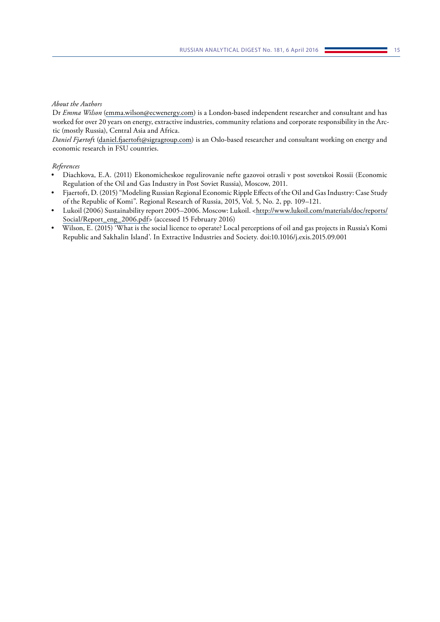## *About the Authors*

Dr *Emma Wilson* [\(emma.wilson@ecwenergy.com\)](mailto:emma.wilson%40ecwenergy.com?subject=) is a London-based independent researcher and consultant and has worked for over 20 years on energy, extractive industries, community relations and corporate responsibility in the Arctic (mostly Russia), Central Asia and Africa.

*Daniel Fjærtof*t [\(daniel.fjaertoft@sigragroup.com](mailto:daniel.fjaertoft%40sigragroup.com?subject=)) is an Oslo-based researcher and consultant working on energy and economic research in FSU countries.

### *References*

- Diachkova, E.A. (2011) Ekonomicheskoe regulirovanie nefte gazovoi otrasli v post sovetskoi Rossii (Economic Regulation of the Oil and Gas Industry in Post Soviet Russia), Moscow, 2011.
- Fjaertoft, D. (2015) "Modeling Russian Regional Economic Ripple Effects of the Oil and Gas Industry: Case Study of the Republic of Komi". Regional Research of Russia, 2015, Vol. 5, No. 2, pp. 109–121.
- Lukoil (2006) Sustainability report 2005-2006. Moscow: Lukoil. [<http://www.lukoil.com/materials/doc/reports/](http://www.lukoil.com/materials/doc/reports/Social/Report_eng_2006.pdf) [Social/Report\\_eng\\_2006.pdf](http://www.lukoil.com/materials/doc/reports/Social/Report_eng_2006.pdf)> (accessed 15 February 2016)
- Wilson, E. (2015) 'What is the social licence to operate? Local perceptions of oil and gas projects in Russia's Komi Republic and Sakhalin Island'. In Extractive Industries and Society. doi:10.1016/j.exis.2015.09.001